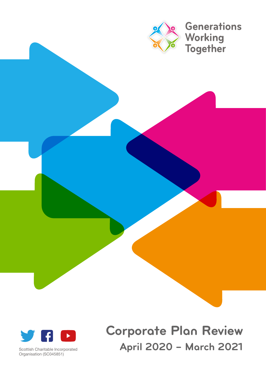

# **Corporate Plan Review**  Scottish Charitable Incorporated **April 2020 – March 2021**



Organisation (SC045851)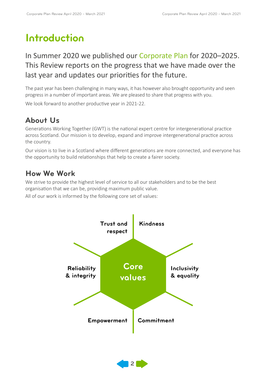### **Introduction**

#### In Summer 2020 we published our Corporate Plan for 2020–2025. This Review reports on the progress that we have made over the last year and updates our priorities for the future.

The past year has been challenging in many ways, it has however also brought opportunity and seen progress in a number of important areas. We are pleased to share that progress with you.

We look forward to another productive year in 2021-22.

#### **About Us**

Generations Working Together (GWT) is the national expert centre for intergenerational practice across Scotland. Our mission is to develop, expand and improve intergenerational practice across the country.

Our vision is to live in a Scotland where different generations are more connected, and everyone has the opportunity to build relationships that help to create a fairer society.

#### **How We Work**

We strive to provide the highest level of service to all our stakeholders and to be the best organisation that we can be, providing maximum public value.

All of our work is informed by the following core set of values:



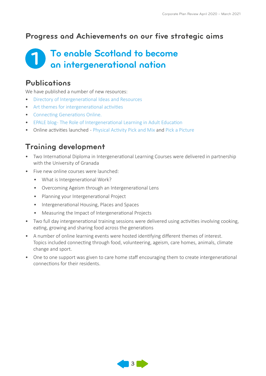#### **Progress and Achievements on our five strategic aims**

#### **1 To enable Scotland to become an intergenerational nation**

#### **Publications**

We have published a number of new resources:

- [Directory of Intergenerational Ideas and Resources](https://generationsworkingtogether.org/resources/directory-of-intergenerational-ideas-and-resources-second-edition)
- [Art themes for intergenerational activities](file:///Users/GusCampbell/Desktop/GWT%20Corporate%20Plan%202022/chrome-extension://efaidnbmnnnibpcajpcglclefindmkaj/viewer.html?pdfurl=https%3A%2F%2Fgenerationsworkingtogether.org%2Fdownloads%2F60df25948485e-IG%2520Art%2520Ideas.pdf&clen=4948900&chunk=true)
- [Connecting Generations Online.](https://generationsworkingtogether.org/resources/connecting-generations-online-safely)
- EPALE blog-The Role of Intergenerational Learning in Adult Education
- Online activities launched [Physical Activity Pick and Mix](https://generationsworkingtogether.org/resources/physical-activity-pick-mix) and [Pick a Picture](https://generationsworkingtogether.org/resources/pick-a-picture)

#### **Training development**

- Two International Diploma in Intergenerational Learning Courses were delivered in partnership with the University of Granada
- Five new online courses were launched:
	- What is Intergenerational Work?
	- Overcoming Ageism through an Intergenerational Lens
	- Planning your Intergenerational Project
	- Intergenerational Housing, Places and Spaces
	- Measuring the Impact of Intergenerational Projects
- Two full day intergenerational training sessions were delivered using activities involving cooking, eating, growing and sharing food across the generations
- A number of online learning events were hosted identifying different themes of interest. Topics included connecting through food, volunteering, ageism, care homes, animals, climate change and sport.
- One to one support was given to care home staff encouraging them to create intergenerational connections for their residents.

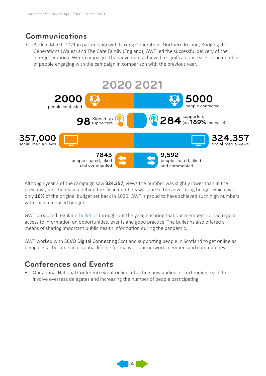#### **Communications**

• Back in March 2021 in partnership with Linking Generations Northern Ireland, Bridging the Generations (Wales) and The Care Family (England), GWT led the successful delivery of the Intergenerational Week campaign. The movement achieved a significant increase in the number of people engaging with the campaign in comparison with the previous year.



Although year 2 of the campaign saw **324,357**, views the number was slightly lower than in the previous year. The reason behind the fall in numbers was due to the advertising budget which was only **16%** of the original budget set back in 2020. GWT is proud to have achieved such high numbers with such a reduced budget.

GWT produced regular [e-bulletins](https://generationsworkingtogether.org/news/newsletter) through-out the year, ensuring that our membership had regular access to information on opportunities, events and good practice. The bulletins also offered a means of sharing important public health information during the pandemic.

GWT worked with SCVO Digital Connecting Scotland supporting people in Scotland to get online as being digital became an essential lifeline for many or our network members and communities.

#### **Conferences and Events**

• Our annual National Conference went online attracting new audiences, extending reach to involve overseas delegates and increasing the number of people participating.

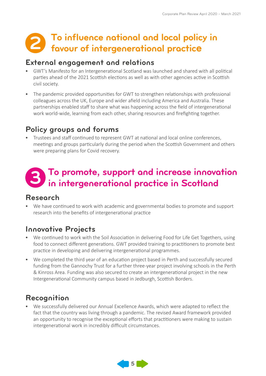# **2 To influence national and local policy in favour of intergenerational practice**

#### **External engagement and relations**

- GWT's Manifesto for an Intergenerational Scotland was launched and shared with all political parties ahead of the 2021 Scottish elections as well as with other agencies active in Scottish civil society.
- The pandemic provided opportunities for GWT to strengthen relationships with professional colleagues across the UK, Europe and wider afield including America and Australia. These partnerships enabled staff to share what was happening across the field of intergenerational work world-wide, learning from each other, sharing resources and firefighting together.

#### **Policy groups and forums**

• Trustees and staff continued to represent GWT at national and local online conferences, meetings and groups particularly during the period when the Scottish Government and others were preparing plans for Covid recovery.

# **To promote, support and increase innovation 3 in intergenerational practice in Scotland**

#### **Research**

• We have continued to work with academic and governmental bodies to promote and support research into the benefits of intergenerational practice

#### **Innovative Projects**

- We continued to work with the Soil Association in delivering Food for Life Get Togethers, using food to connect different generations. GWT provided training to practitioners to promote best practice in developing and delivering intergenerational programmes.
- We completed the third year of an education project based in Perth and successfully secured funding from the Gannochy Trust for a further three-year project involving schools in the Perth & Kinross Area. Funding was also secured to create an intergenerational project in the new Intergenerational Community campus based in Jedburgh, Scottish Borders.

#### **Recognition**

• We successfully delivered our Annual Excellence Awards, which were adapted to reflect the fact that the country was living through a pandemic. The revised Award framework provided an opportunity to recognise the exceptional efforts that practitioners were making to sustain intergenerational work in incredibly difficult circumstances.

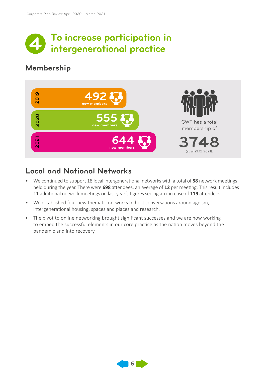

#### **Membership**



#### **Local and National Networks**

- We continued to support 18 local intergenerational networks with a total of **58** network meetings held during the year. There were **698** attendees, an average of **12** per meeting. This result includes 11 additional network meetings on last year's figures seeing an increase of **119** attendees.
- We established four new thematic networks to host conversations around ageism, intergenerational housing, spaces and places and research.
- The pivot to online networking brought significant successes and we are now working to embed the successful elements in our core practice as the nation moves beyond the pandemic and into recovery.

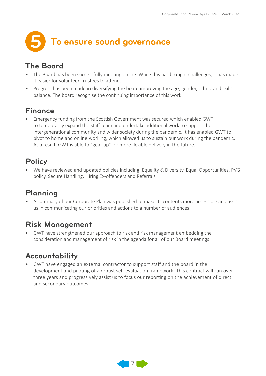

#### **The Board**

- The Board has been successfully meeting online. While this has brought challenges, it has made it easier for volunteer Trustees to attend.
- Progress has been made in diversifying the board improving the age, gender, ethnic and skills balance. The board recognise the continuing importance of this work

#### **Finance**

• Emergency funding from the Scottish Government was secured which enabled GWT to temporarily expand the staff team and undertake additional work to support the intergenerational community and wider society during the pandemic. It has enabled GWT to pivot to home and online working, which allowed us to sustain our work during the pandemic. As a result, GWT is able to "gear up" for more flexible delivery in the future.

#### **Policy**

• We have reviewed and updated policies including: Equality & Diversity, Equal Opportunities, PVG policy, Secure Handling, Hiring Ex-offenders and Referrals.

#### **Planning**

• A summary of our Corporate Plan was published to make its contents more accessible and assist us in communicating our priorities and actions to a number of audiences

#### **Risk Management**

• GWT have strengthened our approach to risk and risk management embedding the consideration and management of risk in the agenda for all of our Board meetings

#### **Accountability**

• GWT have engaged an external contractor to support staff and the board in the development and piloting of a robust self-evaluation framework. This contract will run over three years and progressively assist us to focus our reporting on the achievement of direct and secondary outcomes

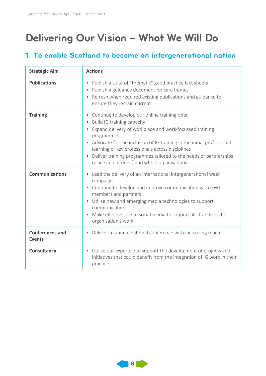## **Delivering Our Vision – What We Will Do**

#### **1. To enable Scotland to become an intergenerational nation**

| <b>Strategic Aim</b>                    | <b>Actions</b>                                                                                                                                                                                                                                                                                                                                                                                                                  |
|-----------------------------------------|---------------------------------------------------------------------------------------------------------------------------------------------------------------------------------------------------------------------------------------------------------------------------------------------------------------------------------------------------------------------------------------------------------------------------------|
| <b>Publications</b>                     | Publish a suite of "thematic" good practice fact sheets<br>$\bullet$<br>Publish a guidance document for care homes<br>$\bullet$<br>Refresh when required existing publications and guidance to<br>$\bullet$<br>ensure they remain current                                                                                                                                                                                       |
| <b>Training</b>                         | Continue to develop our online training offer<br>۰<br>Build IG training capacity<br>٠<br>Expand delivery of workplace and work-focussed training<br>$\bullet$<br>programmes<br>• Advocate for the inclusion of IG training in the initial professional<br>learning of key professionals across disciplines<br>Deliver training programmes tailored to the needs of partnerships<br>(place and interest) and whole organisations |
| <b>Communications</b>                   | Lead the delivery of an international intergenerational week<br>$\bullet$<br>campaign<br>Continue to develop and improve communication with GWT<br>$\bullet$<br>members and partners<br>Utilise new and emerging media technologies to support<br>$\bullet$<br>communication<br>Make effective use of social media to support all strands of the<br>$\bullet$<br>organisation's work                                            |
| <b>Conferences and</b><br><b>Events</b> | Deliver an annual national conference with increasing reach<br>$\bullet$                                                                                                                                                                                                                                                                                                                                                        |
| <b>Consultancy</b>                      | Utilise our expertise to support the development of projects and<br>$\bullet$<br>initiatives that could benefit from the integration of IG work in their<br>practice                                                                                                                                                                                                                                                            |

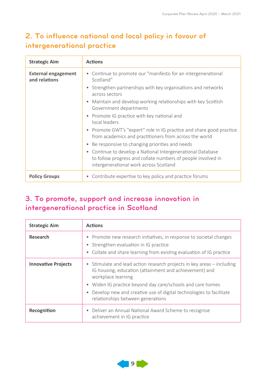#### **2. To influence national and local policy in favour of intergenerational practice**

| <b>Strategic Aim</b>                        | <b>Actions</b>                                                                                                                                                                   |
|---------------------------------------------|----------------------------------------------------------------------------------------------------------------------------------------------------------------------------------|
| <b>External engagement</b><br>and relations | • Continue to promote our "manifesto for an intergenerational<br>Scotland"<br>Strengthen partnerships with key organisations and networks<br>$\bullet$                           |
|                                             | across sectors                                                                                                                                                                   |
|                                             | Maintain and develop working relationships with key Scottish<br>$\bullet$<br>Government departments                                                                              |
|                                             | Promote IG practice with key national and<br>$\bullet$<br>local leaders                                                                                                          |
|                                             | Promote GWT's "expert" role in IG practice and share good practice<br>$\bullet$<br>from academics and practitioners from across the world                                        |
|                                             | Be responsive to changing priorities and needs<br>$\bullet$                                                                                                                      |
|                                             | Continue to develop a National Intergenerational Database<br>$\bullet$<br>to follow progress and collate numbers of people involved in<br>intergenerational work across Scotland |
| <b>Policy Groups</b>                        | Contribute expertise to key policy and practice forums<br>۰                                                                                                                      |

#### **3. To promote, support and increase innovation in intergenerational practice in Scotland**

| <b>Strategic Aim</b>       | <b>Actions</b>                                                                                                                                                                                                                                                                                                                               |
|----------------------------|----------------------------------------------------------------------------------------------------------------------------------------------------------------------------------------------------------------------------------------------------------------------------------------------------------------------------------------------|
| <b>Research</b>            | Promote new research initiatives, in response to societal changes<br>٠<br>• Strengthen evaluation in IG practice<br>• Collate and share learning from existing evaluation of IG practice                                                                                                                                                     |
| <b>Innovative Projects</b> | • Stimulate and lead action research projects in key areas – including<br>IG housing, education (attainment and achievement) and<br>workplace learning<br>• Widen IG practice beyond day care/schools and care homes<br>Develop new and creative use of digital technologies to facilitate<br>$\bullet$<br>relationships between generations |
| Recognition                | • Deliver an Annual National Award Scheme to recognise<br>achievement in IG practice                                                                                                                                                                                                                                                         |